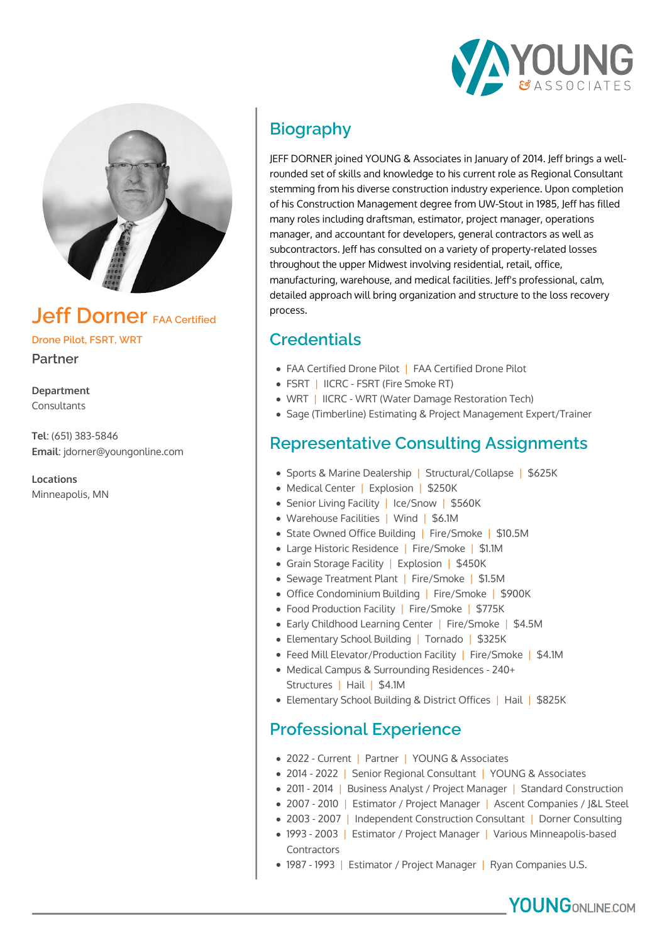



## **Jeff Dorner FAA Certified**

**Drone Pilot, FSRT, WRT**

**Partner**

**Department** Consultants

**Tel**: (651) 383-5846 **Email**: jdorner@youngonline.com

**Locations** Minneapolis, MN

# **Biography**

JEFF DORNER joined YOUNG & Associates in January of 2014. Jeff brings a wellrounded set of skills and knowledge to his current role as Regional Consultant stemming from his diverse construction industry experience. Upon completion of his Construction Management degree from UW-Stout in 1985, Jeff has filled many roles including draftsman, estimator, project manager, operations manager, and accountant for developers, general contractors as well as subcontractors. Jeff has consulted on a variety of property-related losses throughout the upper Midwest involving residential, retail, office, manufacturing, warehouse, and medical facilities. Jeff's professional, calm, detailed approach will bring organization and structure to the loss recovery process.

## **Credentials**

- FAA Certified Drone Pilot | FAA Certified Drone Pilot
- FSRT | IICRC FSRT (Fire Smoke RT)
- WRT | IICRC WRT (Water Damage Restoration Tech)
- Sage (Timberline) Estimating & Project Management Expert/Trainer

### **Representative Consulting Assignments**

- Sports & Marine Dealership | Structural/Collapse | \$625K
- Medical Center | Explosion | \$250K
- Senior Living Facility | Ice/Snow | \$560K
- Warehouse Facilities | Wind | \$6.1M
- State Owned Office Building | Fire/Smoke | \$10.5M
- Large Historic Residence | Fire/Smoke | \$1.1M
- Grain Storage Facility | Explosion | \$450K
- Sewage Treatment Plant | Fire/Smoke | \$1.5M
- Office Condominium Building | Fire/Smoke | \$900K
- Food Production Facility | Fire/Smoke | \$775K
- Early Childhood Learning Center | Fire/Smoke | \$4.5M
- Elementary School Building | Tornado | \$325K
- Feed Mill Elevator/Production Facility | Fire/Smoke | \$4.1M
- Medical Campus & Surrounding Residences 240+ Structures | Hail | \$4.1M
- Elementary School Building & District Offices | Hail | \$825K

#### **Professional Experience**

- 2022 Current | Partner | YOUNG & Associates
- 2014 2022 | Senior Regional Consultant | YOUNG & Associates
- 2011 2014 | Business Analyst / Project Manager | Standard Construction
- 2007 2010 | Estimator / Project Manager | Ascent Companies / J&L Steel
- 2003 2007 | Independent Construction Consultant | Dorner Consulting
- 1993 2003 | Estimator / Project Manager | Various Minneapolis-based Contractors
- 1987 1993 | Estimator / Project Manager | Ryan Companies U.S.